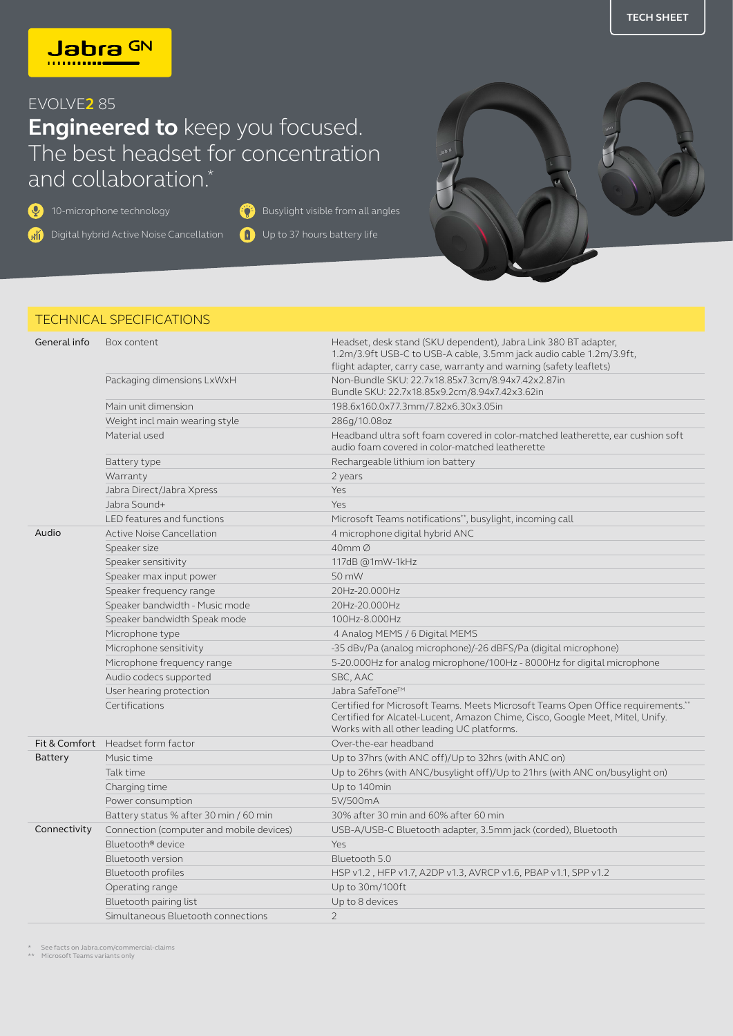## EVOLVE**2** 85

## **Engineered to** keep you focused. The best headset for concentration and collaboration.<sup>\*</sup>

**40** 10-microphone technology

**Ai** Digital hybrid Active Noise Cancellation

Up to 37 hours battery life **Busylight visible from all angles** 



## TECHNICAL SPECIFICATIONS

| General info | Box content                              | Headset, desk stand (SKU dependent), Jabra Link 380 BT adapter,<br>1.2m/3.9ft USB-C to USB-A cable, 3.5mm jack audio cable 1.2m/3.9ft,<br>flight adapter, carry case, warranty and warning (safety leaflets)    |
|--------------|------------------------------------------|-----------------------------------------------------------------------------------------------------------------------------------------------------------------------------------------------------------------|
|              | Packaging dimensions LxWxH               | Non-Bundle SKU: 22.7x18.85x7.3cm/8.94x7.42x2.87in<br>Bundle SKU: 22.7x18.85x9.2cm/8.94x7.42x3.62in                                                                                                              |
|              | Main unit dimension                      | 198.6x160.0x77.3mm/7.82x6.30x3.05in                                                                                                                                                                             |
|              | Weight incl main wearing style           | 286q/10.08oz                                                                                                                                                                                                    |
|              | Material used                            | Headband ultra soft foam covered in color-matched leatherette, ear cushion soft<br>audio foam covered in color-matched leatherette                                                                              |
|              | Battery type                             | Rechargeable lithium ion battery                                                                                                                                                                                |
|              | Warranty                                 | 2 years                                                                                                                                                                                                         |
|              | Jabra Direct/Jabra Xpress                | Yes                                                                                                                                                                                                             |
|              | Jabra Sound+                             | Yes                                                                                                                                                                                                             |
|              | LED features and functions               | Microsoft Teams notifications**, busylight, incoming call                                                                                                                                                       |
| Audio        | <b>Active Noise Cancellation</b>         | 4 microphone digital hybrid ANC                                                                                                                                                                                 |
|              | Speaker size                             | 40mm Ø                                                                                                                                                                                                          |
|              | Speaker sensitivity                      | 117dB @1mW-1kHz                                                                                                                                                                                                 |
|              | Speaker max input power                  | 50 mW                                                                                                                                                                                                           |
|              | Speaker frequency range                  | 20Hz-20.000Hz                                                                                                                                                                                                   |
|              | Speaker bandwidth - Music mode           | 20Hz-20.000Hz                                                                                                                                                                                                   |
|              | Speaker bandwidth Speak mode             | 100Hz-8.000Hz                                                                                                                                                                                                   |
|              | Microphone type                          | 4 Analog MEMS / 6 Digital MEMS                                                                                                                                                                                  |
|              | Microphone sensitivity                   | -35 dBv/Pa (analog microphone)/-26 dBFS/Pa (digital microphone)                                                                                                                                                 |
|              | Microphone frequency range               | 5-20.000Hz for analog microphone/100Hz - 8000Hz for digital microphone                                                                                                                                          |
|              | Audio codecs supported                   | SBC, AAC                                                                                                                                                                                                        |
|              | User hearing protection                  | Jabra SafeTone™                                                                                                                                                                                                 |
|              | Certifications                           | Certified for Microsoft Teams. Meets Microsoft Teams Open Office requirements.**<br>Certified for Alcatel-Lucent, Amazon Chime, Cisco, Google Meet, Mitel, Unify.<br>Works with all other leading UC platforms. |
|              | Fit & Comfort Headset form factor        | Over-the-ear headband                                                                                                                                                                                           |
| Battery      | Music time                               | Up to 37hrs (with ANC off)/Up to 32hrs (with ANC on)                                                                                                                                                            |
|              | Talk time                                | Up to 26hrs (with ANC/busylight off)/Up to 21hrs (with ANC on/busylight on)                                                                                                                                     |
|              | Charging time                            | Up to 140min                                                                                                                                                                                                    |
|              | Power consumption                        | 5V/500mA                                                                                                                                                                                                        |
|              | Battery status % after 30 min / 60 min   | 30% after 30 min and 60% after 60 min                                                                                                                                                                           |
| Connectivity | Connection (computer and mobile devices) | USB-A/USB-C Bluetooth adapter, 3.5mm jack (corded), Bluetooth                                                                                                                                                   |
|              | Bluetooth <sup>®</sup> device            | Yes                                                                                                                                                                                                             |
|              | Bluetooth version                        | Bluetooth 5.0                                                                                                                                                                                                   |
|              | Bluetooth profiles                       | HSP v1.2, HFP v1.7, A2DP v1.3, AVRCP v1.6, PBAP v1.1, SPP v1.2                                                                                                                                                  |
|              | Operating range                          | Up to 30m/100ft                                                                                                                                                                                                 |
|              | Bluetooth pairing list                   | Up to 8 devices                                                                                                                                                                                                 |
|              | Simultaneous Bluetooth connections       | $\overline{2}$                                                                                                                                                                                                  |

\* See facts on Jabra.com/commercial-claims \*\* Microsoft Teams variants only